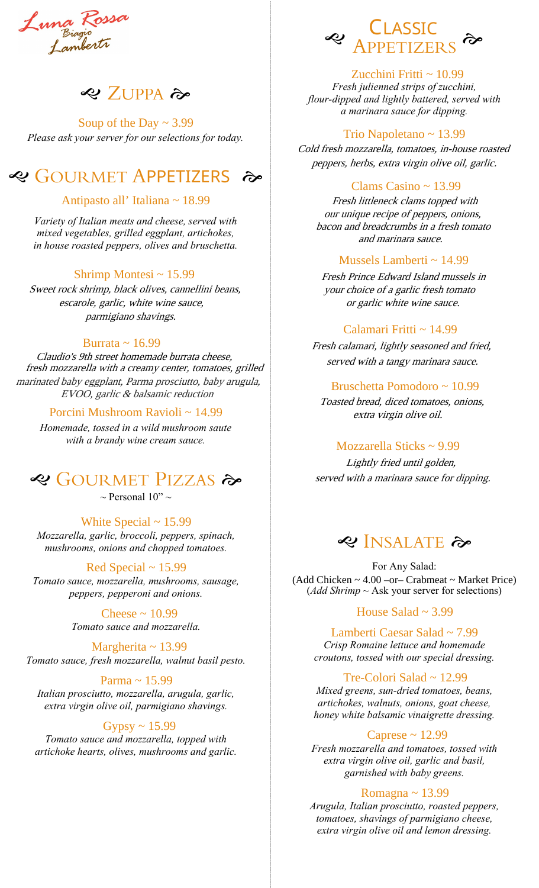Luna Rossa<br>Lunajo<br>Lambertr

# **<2** ZUPPA み

*Please ask your server for our selections for today.* Soup of the Day  $\sim$  3.99

# **<sup>«</sup>** GOURMET APPETIZERS →

### Antipasto all' Italiana ~ 18.99

*Variety of Italian meats and cheese, served with mixed vegetables, grilled eggplant, artichokes, in house roasted peppers, olives and bruschetta.*

#### Shrimp Montesi ~ 15.99

Sweet rock shrimp, black olives, cannellini beans, escarole, garlic, white wine sauce, parmigiano shavings.

#### Burrata ~ 16.99

Claudio's 9th street homemade burrata cheese, fresh mozzarella with a creamy center, tomatoes, grilled marinated baby eggplant, Parma prosciutto, baby arugula, EVOO, garlic & balsamic reduction

#### Porcini Mushroom Ravioli ~ 14.99

*Homemade, tossed in a wild mushroom saute with a brandy wine cream sauce.*

# **GOURMET PIZZAS**

 $\sim$  Personal 10"  $\sim$ 

*Mozzarella, garlic, broccoli, peppers, spinach, mushrooms, onions and chopped tomatoes.* White Special  $\sim$  15.99

*Tomato sauce, mozzarella, mushrooms, sausage, peppers, pepperoni and onions.* Red Special  $\sim$  15.99

> *Tomato sauce and mozzarella.* Cheese  $\sim 10.99$

*Tomato sauce, fresh mozzarella, walnut basil pesto.* Margherita  $\sim$  13.99

*Italian prosciutto, mozzarella, arugula, garlic, extra virgin olive oil, parmigiano shavings.* Parma ~ 15.99

#### *Tomato sauce and mozzarella, topped with artichoke hearts, olives, mushrooms and garlic.* Gypsy  $\sim 15.99$



#### Zucchini Fritti  $\sim 10.99$

*Fresh julienned strips of zucchini, flour-dipped and lightly battered, served with a marinara sauce for dipping.*

#### Trio Napoletano ~ 13.99

Cold fresh mozzarella, tomatoes, in-house roasted peppers, herbs, extra virgin olive oil, garlic.

#### Clams Casino ~ 13.99

Fresh littleneck clams topped with our unique recipe of peppers, onions, bacon and breadcrumbs in a fresh tomato and marinara sauce.

#### Mussels Lamberti  $\sim$  14.99

Fresh Prince Edward Island mussels in your choice of a garlic fresh tomato or garlic white wine sauce.

#### Calamari Fritti ~ 14.99

Fresh calamari, lightly seasoned and fried, served with a tangy marinara sauce.

#### Bruschetta Pomodoro ~ 10.99

Toasted bread, diced tomatoes, onions, extra virgin olive oil.

#### Mozzarella Sticks ~ 9.99

Lightly fried until golden, served with a marinara sauce for dipping.

# **INSALATE**

For Any Salad: (*Add Shrimp* ~ Ask your server for selections)  $(Add Chicken ~ 4.00 - or - Crabmeat ~ Market Price)$ 

#### House Salad  $\sim$  3.99

*Crisp Romaine lettuce and homemade croutons, tossed with our special dressing.* Lamberti Caesar Salad ~ 7.99

#### Tre-Colori Salad ~ 12.99

*Mixed greens, sun-dried tomatoes, beans, artichokes, walnuts, onions, goat cheese, honey white balsamic vinaigrette dressing.*

#### Caprese ~ 12.99

*Fresh mozzarella and tomatoes, tossed with extra virgin olive oil, garlic and basil, garnished with baby greens.* 

#### Romagna ~ 13.99

*Arugula, Italian prosciutto, roasted peppers, tomatoes, shavings of parmigiano cheese, extra virgin olive oil and lemon dressing.*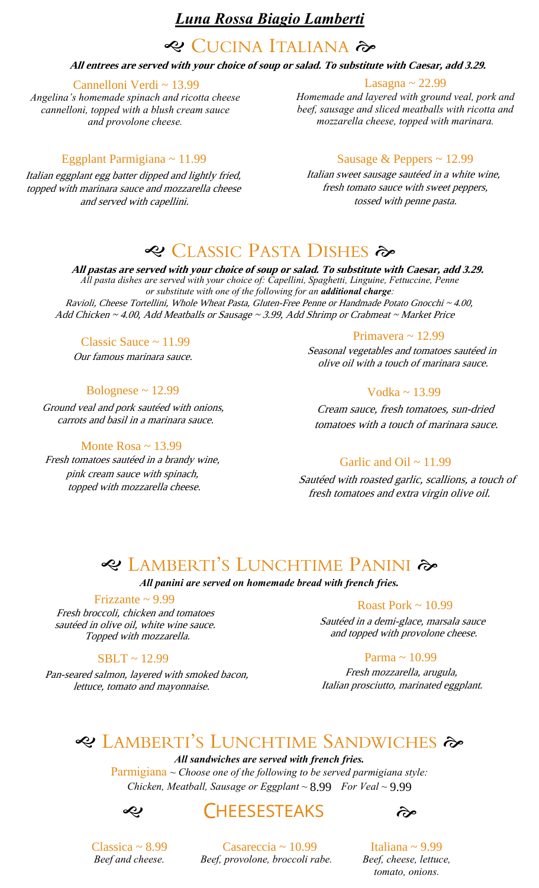## *Luna Rossa Biagio Lamberti*

# **CUCINA ITALIANA**

#### **All entrees are served with your choice of soup or salad. To substitute with Caesar, add 3.29.**

#### Cannelloni Verdi ~ 13.99

*Angelina's homemade spinach and ricotta cheese cannelloni, topped with a blush cream sauce and provolone cheese.*

#### Lasagna ~ 22.99

*Homemade and layered with ground veal, pork and beef, sausage and sliced meatballs with ricotta and mozzarella cheese, topped with marinara.*

#### Eggplant Parmigiana ~ 11.99

Italian eggplant egg batter dipped and lightly fried, topped with marinara sauce and mozzarella cheese and served with capellini.

#### Sausage & Peppers ~ 12.99

Italian sweet sausage sautéed in a white wine, fresh tomato sauce with sweet peppers, tossed with penne pasta.

# **CLASSIC PASTA DISHES**

*All pasta dishes are served with your choice of: Capellini, Spaghetti, Linguine, Fettuccine, Penne or substitute with one of the following for an additional charge:*  Ravioli, Cheese Tortellini, Whole Wheat Pasta, Gluten-Free Penne or Handmade Potato Gnocchi ~ 4.00, **All pastas are served with your choice of soup or salad. To substitute with Caesar, add 3.29.** Add Chicken ~ 4.00, Add Meatballs or Sausage ~ 3.99, Add Shrimp or Crabmeat ~ Market Price

#### Classic Sauce ~ 11.99

Our famous marinara sauce.

#### Bolognese  $\sim$  12.99

Ground veal and pork sautéed with onions, carrots and basil in a marinara sauce.

#### Monte Rosa ~ 13.99

Fresh tomatoes sautéed in a brandy wine, pink cream sauce with spinach, topped with mozzarella cheese.

#### Primavera ~ 12.99

Seasonal vegetables and tomatoes sautéed in olive oil with a touch of marinara sauce.

#### Vodka ~ 13.99

Cream sauce, fresh tomatoes, sun-dried tomatoes with a touch of marinara sauce.

#### Garlic and Oil  $\sim$  11.99

Sautéed with roasted garlic, scallions, a touch of fresh tomatoes and extra virgin olive oil.

# **LAMBERTI'S LUNCHTIME PANINI**

*All panini are served on homemade bread with french fries.*

# Frizzante ~ 9.99 Roast Pork ~ 10.99

Fresh broccoli, chicken and tomatoes sautéed in olive oil, white wine sauce. Topped with mozzarella.

#### SBLT ~ 12.99

Pan-seared salmon, layered with smoked bacon, lettuce, tomato and mayonnaise.

Sautéed in a demi-glace, marsala sauce and topped with provolone cheese.

#### Parma ~ 10.99

Fresh mozzarella, arugula, Italian prosciutto, marinated eggplant.

# **LAMBERTI'S LUNCHTIME SANDWICHES**

#### *All sandwiches are served with french fries.*

Parmigiana ~ *Choose one of the following to be served parmigiana style:*  Chicken, Meatball, Sausage or Eggplant ~ 8.99 For Veal ~ 9.99



# <ce CHEESESTEAKS →



*Beef and cheese. Beef, provolone, broccoli rabe. Beef, cheese, lettuce,*   $Classica \sim 8.99$  Casareccia ~ 10.99 Italiana ~ 9.99

*tomato, onions.*